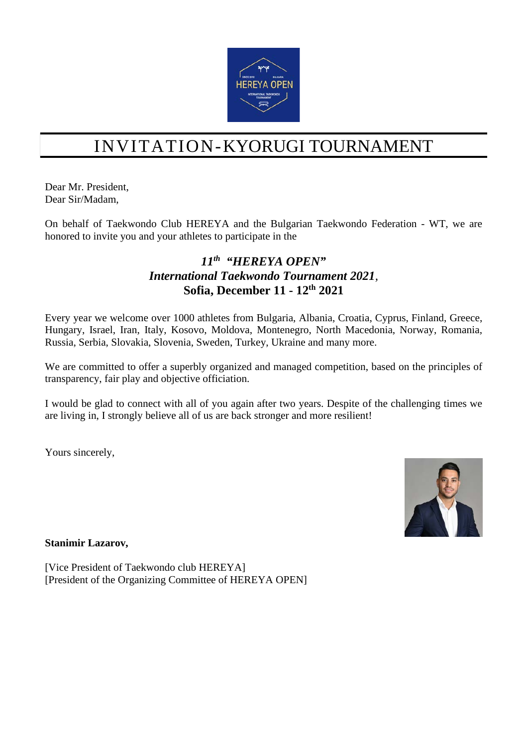

# INVITATION-KYORUGI TOURNAMENT

Dear Mr. President, Dear Sir/Madam,

On behalf of Taekwondo Club HEREYA and the Bulgarian Taekwondo Federation - WT, we are honored to invite you and your athletes to participate in the

#### *11th "HEREYA OPEN" International Taekwondo Tournament 2021,* **Sofia, December 11 - 12th 2021**

Every year we welcome over 1000 athletes from Bulgaria, Albania, Croatia, Cyprus, Finland, Greece, Hungary, Israel, Iran, Italy, Kosovo, Moldova, Montenegro, North Macedonia, Norway, Romania, Russia, Serbia, Slovakia, Slovenia, Sweden, Turkey, Ukraine and many more.

We are committed to offer a superbly organized and managed competition, based on the principles of transparency, fair play and objective officiation.

I would be glad to connect with all of you again after two years. Despite of the challenging times we are living in, I strongly believe all of us are back stronger and more resilient!

Yours sincerely,



**Stanimir Lazarov,** 

[Vice President of Taekwondo club HEREYA] [President of the Organizing Committee of HEREYA OPEN]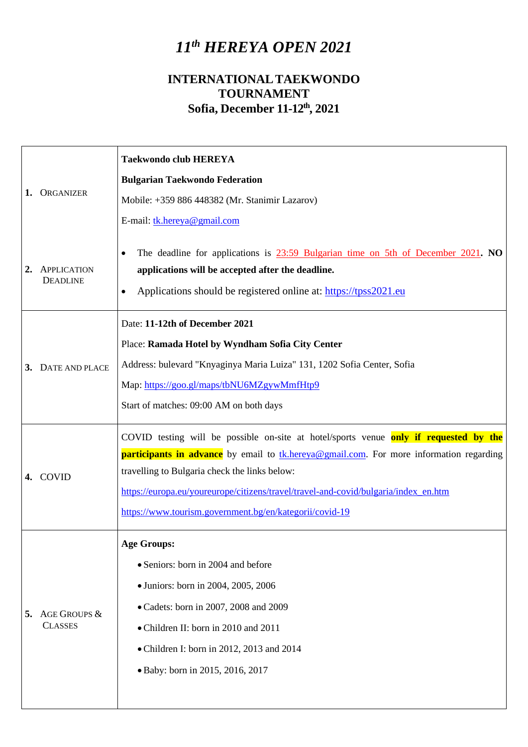## *11th HEREYA OPEN 2021*

### **INTERNATIONALTAEKWONDO TOURNAMENT Sofia, December 11-12th , 2021**

|    | ORGANIZER                             | <b>Taekwondo club HEREYA</b>                                                                                                                                                                                              |  |  |
|----|---------------------------------------|---------------------------------------------------------------------------------------------------------------------------------------------------------------------------------------------------------------------------|--|--|
|    |                                       | <b>Bulgarian Taekwondo Federation</b>                                                                                                                                                                                     |  |  |
|    |                                       | Mobile: +359 886 448382 (Mr. Stanimir Lazarov)                                                                                                                                                                            |  |  |
|    |                                       | E-mail: tk.hereya@gmail.com                                                                                                                                                                                               |  |  |
| 2. | <b>APPLICATION</b><br><b>DEADLINE</b> | The deadline for applications is $23:59$ Bulgarian time on 5th of December 2021. NO<br>applications will be accepted after the deadline.<br>Applications should be registered online at: https://tpss2021.eu<br>$\bullet$ |  |  |
|    |                                       | Date: 11-12th of December 2021                                                                                                                                                                                            |  |  |
| 3. | <b>DATE AND PLACE</b>                 | Place: Ramada Hotel by Wyndham Sofia City Center                                                                                                                                                                          |  |  |
|    |                                       | Address: bulevard "Knyaginya Maria Luiza" 131, 1202 Sofia Center, Sofia                                                                                                                                                   |  |  |
|    |                                       | Map: https://goo.gl/maps/tbNU6MZgywMmfHtp9                                                                                                                                                                                |  |  |
|    |                                       | Start of matches: 09:00 AM on both days                                                                                                                                                                                   |  |  |
|    |                                       | COVID testing will be possible on-site at hotel/sports venue only if requested by the                                                                                                                                     |  |  |
|    | 4. COVID                              | <b>participants in advance</b> by email to tk.hereya@gmail.com. For more information regarding                                                                                                                            |  |  |
|    |                                       | travelling to Bulgaria check the links below:                                                                                                                                                                             |  |  |
|    |                                       |                                                                                                                                                                                                                           |  |  |
|    |                                       | https://europa.eu/youreurope/citizens/travel/travel-and-covid/bulgaria/index_en.htm                                                                                                                                       |  |  |
|    |                                       | https://www.tourism.government.bg/en/kategorii/covid-19                                                                                                                                                                   |  |  |
|    |                                       | <b>Age Groups:</b>                                                                                                                                                                                                        |  |  |
|    |                                       | • Seniors: born in 2004 and before                                                                                                                                                                                        |  |  |
|    |                                       | • Juniors: born in 2004, 2005, 2006                                                                                                                                                                                       |  |  |
| 5. | AGE GROUPS &                          | • Cadets: born in 2007, 2008 and 2009                                                                                                                                                                                     |  |  |
|    | <b>CLASSES</b>                        | • Children II: born in 2010 and 2011                                                                                                                                                                                      |  |  |
|    |                                       | • Children I: born in 2012, 2013 and 2014                                                                                                                                                                                 |  |  |
|    |                                       | · Baby: born in 2015, 2016, 2017                                                                                                                                                                                          |  |  |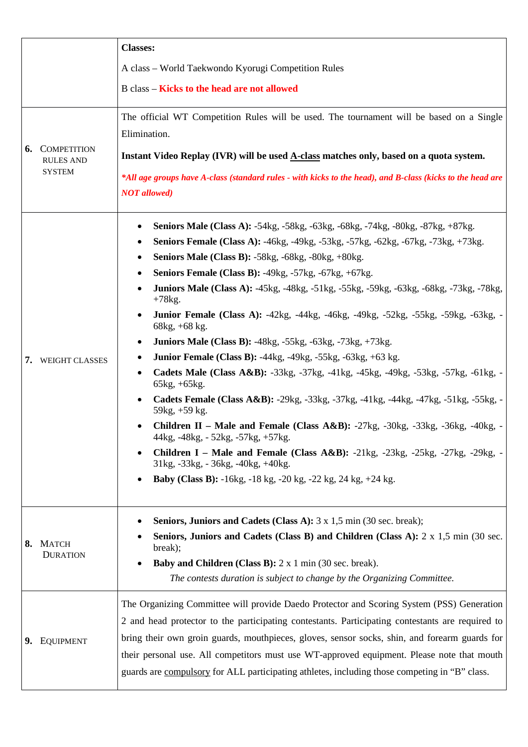|  |                                                            | <b>Classes:</b>                                                                                                                                                                             |
|--|------------------------------------------------------------|---------------------------------------------------------------------------------------------------------------------------------------------------------------------------------------------|
|  |                                                            | A class - World Taekwondo Kyorugi Competition Rules                                                                                                                                         |
|  |                                                            | <b>B</b> class – Kicks to the head are not allowed                                                                                                                                          |
|  | <b>6.</b> COMPETITION<br><b>RULES AND</b><br><b>SYSTEM</b> | The official WT Competition Rules will be used. The tournament will be based on a Single<br>Elimination.                                                                                    |
|  |                                                            | Instant Video Replay (IVR) will be used A-class matches only, based on a quota system.                                                                                                      |
|  |                                                            | *All age groups have A-class (standard rules - with kicks to the head), and B-class (kicks to the head are<br><b>NOT</b> allowed)                                                           |
|  |                                                            | <b>Seniors Male (Class A):</b> -54kg, -58kg, -63kg, -68kg, -74kg, -80kg, -87kg, +87kg.<br>Seniors Female (Class A): -46kg, -49kg, -53kg, -57kg, -62kg, -67kg, -73kg, +73kg.                 |
|  |                                                            | <b>Seniors Male (Class B): -58kg, -68kg, -80kg, +80kg.</b><br>٠                                                                                                                             |
|  |                                                            | <b>Seniors Female (Class B): -49kg, -57kg, -67kg, +67kg.</b>                                                                                                                                |
|  |                                                            | Juniors Male (Class A): -45kg, -48kg, -51kg, -55kg, -59kg, -63kg, -68kg, -73kg, -78kg,<br>$+78$ kg.                                                                                         |
|  |                                                            | <b>Junior Female (Class A):</b> -42kg, -44kg, -46kg, -49kg, -52kg, -55kg, -59kg, -63kg, -<br>$\bullet$<br>$68kg, +68 kg.$                                                                   |
|  |                                                            | <b>Juniors Male (Class B):</b> -48kg, -55kg, -63kg, -73kg, +73kg.<br>٠                                                                                                                      |
|  | 7. WEIGHT CLASSES                                          | Junior Female (Class B): -44kg, -49kg, -55kg, -63kg, +63 kg.<br>٠                                                                                                                           |
|  |                                                            | Cadets Male (Class A&B): -33kg, -37kg, -41kg, -45kg, -49kg, -53kg, -57kg, -61kg, -<br>$\bullet$<br>$65kg, +65kg.$                                                                           |
|  |                                                            | Cadets Female (Class A&B): -29kg, -33kg, -37kg, -41kg, -44kg, -47kg, -51kg, -55kg, -<br>$59kg, +59 kg.$                                                                                     |
|  |                                                            | <b>Children II</b> – Male and Female (Class $A&B$ ): -27kg, -30kg, -33kg, -36kg, -40kg, -<br>44kg, -48kg, - 52kg, -57kg, +57kg.                                                             |
|  |                                                            | <b>Children I</b> – Male and Female (Class $A&B$ ): $-21kg$ , $-23kg$ , $-25kg$ , $-27kg$ , $-29kg$ , $-29kg$<br>31kg, -33kg, -36kg, -40kg, +40kg.                                          |
|  |                                                            | Baby (Class B): -16kg, -18 kg, -20 kg, -22 kg, 24 kg, +24 kg.                                                                                                                               |
|  | 8. MATCH<br><b>DURATION</b>                                | <b>Seniors, Juniors and Cadets (Class A):</b> 3 x 1,5 min (30 sec. break);<br>٠                                                                                                             |
|  |                                                            | <b>Seniors, Juniors and Cadets (Class B) and Children (Class A):</b> 2 x 1,5 min (30 sec.<br>break);                                                                                        |
|  |                                                            | <b>Baby and Children (Class B):</b> $2 \times 1$ min (30 sec. break).                                                                                                                       |
|  |                                                            | The contests duration is subject to change by the Organizing Committee.                                                                                                                     |
|  | 9. EQUIPMENT                                               | The Organizing Committee will provide Daedo Protector and Scoring System (PSS) Generation                                                                                                   |
|  |                                                            | 2 and head protector to the participating contestants. Participating contestants are required to                                                                                            |
|  |                                                            | bring their own groin guards, mouthpieces, gloves, sensor socks, shin, and forearm guards for                                                                                               |
|  |                                                            | their personal use. All competitors must use WT-approved equipment. Please note that mouth<br>guards are compulsory for ALL participating athletes, including those competing in "B" class. |
|  |                                                            |                                                                                                                                                                                             |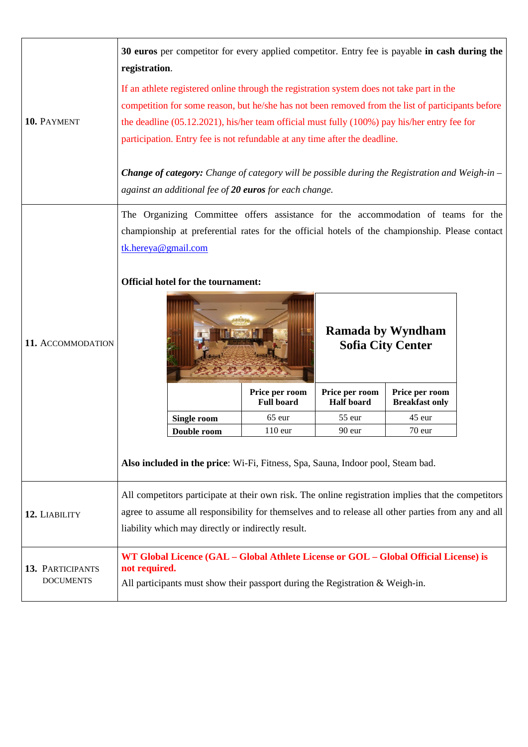| 10. PAYMENT                          | 30 euros per competitor for every applied competitor. Entry fee is payable in cash during the<br>registration.<br>If an athlete registered online through the registration system does not take part in the<br>competition for some reason, but he/she has not been removed from the list of participants before<br>the deadline $(05.12.2021)$ , his/her team official must fully $(100\%)$ pay his/her entry fee for<br>participation. Entry fee is not refundable at any time after the deadline. |  |                                                                                                                                                                                                                                                                                                                                                                                                                                                                                                                        |  |  |
|--------------------------------------|------------------------------------------------------------------------------------------------------------------------------------------------------------------------------------------------------------------------------------------------------------------------------------------------------------------------------------------------------------------------------------------------------------------------------------------------------------------------------------------------------|--|------------------------------------------------------------------------------------------------------------------------------------------------------------------------------------------------------------------------------------------------------------------------------------------------------------------------------------------------------------------------------------------------------------------------------------------------------------------------------------------------------------------------|--|--|
|                                      | <b>Change of category:</b> Change of category will be possible during the Registration and Weigh-in $-$<br>against an additional fee of 20 euros for each change.                                                                                                                                                                                                                                                                                                                                    |  |                                                                                                                                                                                                                                                                                                                                                                                                                                                                                                                        |  |  |
| 11. ACCOMMODATION                    | tk.hereya@gmail.com<br><b>Official hotel for the tournament:</b><br><b>Single room</b><br>Double room                                                                                                                                                                                                                                                                                                                                                                                                |  | The Organizing Committee offers assistance for the accommodation of teams for the<br>championship at preferential rates for the official hotels of the championship. Please contact<br><b>Ramada by Wyndham</b><br><b>Sofia City Center</b><br>Price per room<br>Price per room<br>Price per room<br><b>Full board</b><br><b>Half</b> board<br><b>Breakfast only</b><br>65 eur<br>55 eur<br>45 eur<br>$110$ eur<br>90 eur<br>70 eur<br>Also included in the price: Wi-Fi, Fitness, Spa, Sauna, Indoor pool, Steam bad. |  |  |
| 12. LIABILITY                        | All competitors participate at their own risk. The online registration implies that the competitors<br>agree to assume all responsibility for themselves and to release all other parties from any and all<br>liability which may directly or indirectly result.                                                                                                                                                                                                                                     |  |                                                                                                                                                                                                                                                                                                                                                                                                                                                                                                                        |  |  |
| 13. PARTICIPANTS<br><b>DOCUMENTS</b> | WT Global Licence (GAL - Global Athlete License or GOL - Global Official License) is<br>not required.<br>All participants must show their passport during the Registration $&$ Weigh-in.                                                                                                                                                                                                                                                                                                             |  |                                                                                                                                                                                                                                                                                                                                                                                                                                                                                                                        |  |  |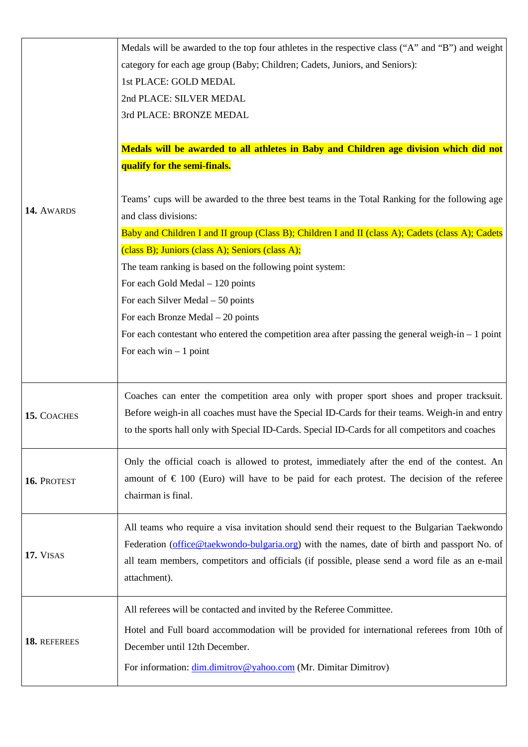|              | Medals will be awarded to the top four athletes in the respective class ("A" and "B") and weight   |
|--------------|----------------------------------------------------------------------------------------------------|
|              | category for each age group (Baby; Children; Cadets, Juniors, and Seniors):                        |
|              | 1st PLACE: GOLD MEDAL                                                                              |
|              | 2nd PLACE: SILVER MEDAL                                                                            |
|              | 3rd PLACE: BRONZE MEDAL                                                                            |
|              |                                                                                                    |
|              | Medals will be awarded to all athletes in Baby and Children age division which did not             |
|              | qualify for the semi-finals.                                                                       |
|              |                                                                                                    |
|              | Teams' cups will be awarded to the three best teams in the Total Ranking for the following age     |
| 14. AWARDS   | and class divisions:                                                                               |
|              | Baby and Children I and II group (Class B); Children I and II (class A); Cadets (class A); Cadets  |
|              | (class B); Juniors (class A); Seniors (class A);                                                   |
|              | The team ranking is based on the following point system:                                           |
|              | For each Gold Medal - 120 points                                                                   |
|              | For each Silver Medal $-50$ points                                                                 |
|              | For each Bronze Medal $-20$ points                                                                 |
|              | For each contestant who entered the competition area after passing the general weigh-in $-1$ point |
|              | For each $win - 1$ point                                                                           |
|              |                                                                                                    |
|              |                                                                                                    |
|              | Coaches can enter the competition area only with proper sport shoes and proper tracksuit.          |
| 15. COACHES  | Before weigh-in all coaches must have the Special ID-Cards for their teams. Weigh-in and entry     |
|              | to the sports hall only with Special ID-Cards. Special ID-Cards for all competitors and coaches    |
|              |                                                                                                    |
|              | Only the official coach is allowed to protest, immediately after the end of the contest. An        |
| 16. PROTEST  | amount of $\epsilon$ 100 (Euro) will have to be paid for each protest. The decision of the referee |
|              | chairman is final.                                                                                 |
|              | All teams who require a visa invitation should send their request to the Bulgarian Taekwondo       |
|              |                                                                                                    |
| 17. VISAS    | Federation (office@taekwondo-bulgaria.org) with the names, date of birth and passport No. of       |
|              | all team members, competitors and officials (if possible, please send a word file as an e-mail     |
|              | attachment).                                                                                       |
|              | All referees will be contacted and invited by the Referee Committee.                               |
|              |                                                                                                    |
| 18. REFEREES | Hotel and Full board accommodation will be provided for international referees from 10th of        |
|              | December until 12th December.                                                                      |
|              | For information: dim.dimitrov@yahoo.com (Mr. Dimitar Dimitrov)                                     |
|              |                                                                                                    |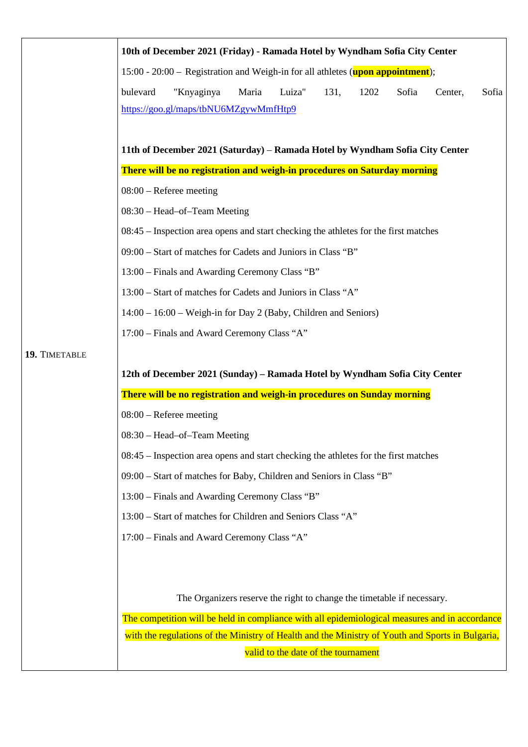|                                                                                                                                                       | 10th of December 2021 (Friday) - Ramada Hotel by Wyndham Sofia City Center                                                      |  |  |                           |  |  |
|-------------------------------------------------------------------------------------------------------------------------------------------------------|---------------------------------------------------------------------------------------------------------------------------------|--|--|---------------------------|--|--|
|                                                                                                                                                       | 15:00 - 20:00 – Registration and Weigh-in for all athletes (upon appointment);                                                  |  |  |                           |  |  |
|                                                                                                                                                       | "Knyaginya<br>Luiza"<br>bulevard<br>Maria<br>131,<br>1202<br>Sofia<br>Sofia<br>Center,<br>https://goo.gl/maps/tbNU6MZgywMmfHtp9 |  |  |                           |  |  |
| 11th of December 2021 (Saturday) – Ramada Hotel by Wyndham Sofia City Center                                                                          |                                                                                                                                 |  |  |                           |  |  |
| There will be no registration and weigh-in procedures on Saturday morning                                                                             |                                                                                                                                 |  |  |                           |  |  |
| $08:00$ – Referee meeting                                                                                                                             |                                                                                                                                 |  |  |                           |  |  |
| 08:30 - Head-of-Team Meeting                                                                                                                          |                                                                                                                                 |  |  |                           |  |  |
| 08:45 – Inspection area opens and start checking the athletes for the first matches                                                                   |                                                                                                                                 |  |  |                           |  |  |
| 09:00 – Start of matches for Cadets and Juniors in Class "B"                                                                                          |                                                                                                                                 |  |  |                           |  |  |
| 13:00 – Finals and Awarding Ceremony Class "B"                                                                                                        |                                                                                                                                 |  |  |                           |  |  |
| 13:00 – Start of matches for Cadets and Juniors in Class "A"                                                                                          |                                                                                                                                 |  |  |                           |  |  |
|                                                                                                                                                       | 14:00 - 16:00 - Weigh-in for Day 2 (Baby, Children and Seniors)                                                                 |  |  |                           |  |  |
|                                                                                                                                                       | 17:00 - Finals and Award Ceremony Class "A"                                                                                     |  |  |                           |  |  |
| 19. TIMETABLE                                                                                                                                         |                                                                                                                                 |  |  |                           |  |  |
| 12th of December 2021 (Sunday) – Ramada Hotel by Wyndham Sofia City Center<br>There will be no registration and weigh-in procedures on Sunday morning |                                                                                                                                 |  |  |                           |  |  |
|                                                                                                                                                       |                                                                                                                                 |  |  | $08:00$ – Referee meeting |  |  |
|                                                                                                                                                       | 08:30 - Head-of-Team Meeting                                                                                                    |  |  |                           |  |  |
|                                                                                                                                                       | 08:45 – Inspection area opens and start checking the athletes for the first matches                                             |  |  |                           |  |  |
|                                                                                                                                                       | 09:00 - Start of matches for Baby, Children and Seniors in Class "B"                                                            |  |  |                           |  |  |
|                                                                                                                                                       | 13:00 – Finals and Awarding Ceremony Class "B"                                                                                  |  |  |                           |  |  |
|                                                                                                                                                       | 13:00 - Start of matches for Children and Seniors Class "A"                                                                     |  |  |                           |  |  |
|                                                                                                                                                       | 17:00 - Finals and Award Ceremony Class "A"                                                                                     |  |  |                           |  |  |
|                                                                                                                                                       |                                                                                                                                 |  |  |                           |  |  |
|                                                                                                                                                       | The Organizers reserve the right to change the timetable if necessary.                                                          |  |  |                           |  |  |
|                                                                                                                                                       | The competition will be held in compliance with all epidemiological measures and in accordance                                  |  |  |                           |  |  |
|                                                                                                                                                       | with the regulations of the Ministry of Health and the Ministry of Youth and Sports in Bulgaria,                                |  |  |                           |  |  |
|                                                                                                                                                       | valid to the date of the tournament                                                                                             |  |  |                           |  |  |